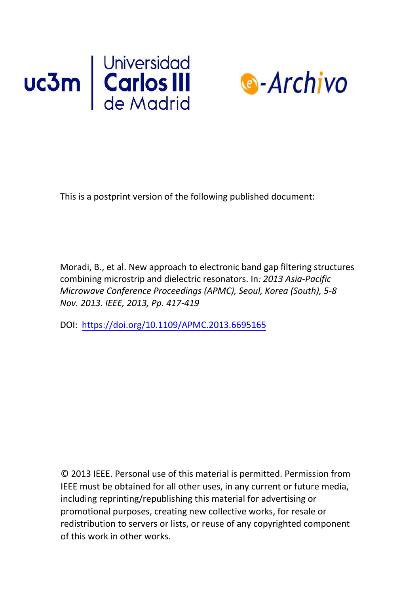



This is a postprint version of the following published document:

Moradi, B., et al. New approach to electronic band gap filtering structures combining microstrip and dielectric resonators. In*: 2013 Asia-Pacific Microwave Conference Proceedings (APMC), Seoul, Korea (South), 5-8 Nov. 2013. IEEE, 2013, Pp. 417-419* 

DOI: <https://doi.org/10.1109/APMC.2013.6695165>

© 2013 IEEE. Personal use of this material is permitted. Permission from IEEE must be obtained for all other uses, in any current or future media, including reprinting/republishing this material for advertising or promotional purposes, creating new collective works, for resale or redistribution to servers or lists, or reuse of any copyrighted component of this work in [other works.](https://creativecommons.org/licenses/by-nc-nd/4.0/)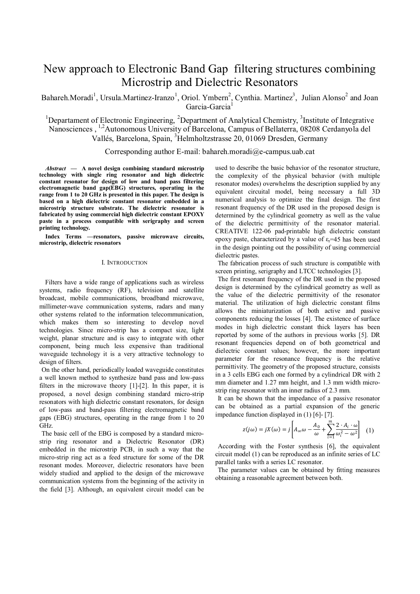# New approach to Electronic Band Gap filtering structures combining Microstrip and Dielectric Resonators

Bahareh.Moradi<sup>1</sup>, Ursula.Martinez-Iranzo<sup>1</sup>, Oriol. Ymbern<sup>2</sup>, Cynthia. Martinez<sup>3</sup>, Julian Alonso<sup>2</sup> and Joan Garcia-Garcia<sup>1</sup>

<sup>1</sup>Departament of Electronic Engineering, <sup>2</sup>Department of Analytical Chemistry, <sup>3</sup>Institute of Integrative Nanosciences , 1,2Autonomous University of Barcelona, Campus of Bellaterra, 08208 Cerdanyola del Vallés, Barcelona, Spain, <sup>3</sup>Helmholtzstrasse 20, 01069 Dresden, Germany

Corresponding author E-mail: bahareh.moradi@e-campus.uab.cat

*Abstract* **— A novel design combining standard microstrip technology with single ring resonator and high dielectric constant resonator for design of low and band pass filtering electromagnetic band gap(EBG) structures, operating in the range from 1 to 20 GHz is presented in this paper. The design is based on a high dielectric constant resonator embedded in a microstrip structure substrate. The dielectric resonator is fabricated by using commercial high dielectric constant EPOXY paste in a process compatible with serigraphy and screen printing technology.** 

**Index Terms —resonators, passive microwave circuits, microstrip, dielectric resonators**

#### I. INTRODUCTION

 Filters have a wide range of applications such as wireless systems, radio frequency (RF), television and satellite broadcast, mobile communications, broadband microwave, millimeter-wave communication systems, radars and many other systems related to the information telecommunication, which makes them so interesting to develop novel technologies. Since micro-strip has a compact size, light weight, planar structure and is easy to integrate with other component, being much less expensive than traditional waveguide technology it is a very attractive technology to design of filters.

On the other hand, periodically loaded waveguide constitutes a well known method to synthesize band pass and low-pass filters in the microwave theory [1]-[2]. In this paper, it is proposed, a novel design combining standard micro-strip resonators with high dielectric constant resonators, for design of low-pass and band-pass filtering electromagnetic band gaps (EBG) structures, operating in the range from 1 to 20 GHz.

The basic cell of the EBG is composed by a standard microstrip ring resonator and a Dielectric Resonator (DR) embedded in the microstrip PCB, in such a way that the micro-strip ring act as a feed structure for some of the DR resonant modes. Moreover, dielectric resonators have been widely studied and applied to the design of the microwave communication systems from the beginning of the activity in the field [3]. Although, an equivalent circuit model can be used to describe the basic behavior of the resonator structure, the complexity of the physical behavior (with multiple resonator modes) overwhelms the description supplied by any equivalent circuital model, being necessary a full 3D numerical analysis to optimize the final design. The first resonant frequency of the DR used in the proposed design is determined by the cylindrical geometry as well as the value of the dielectric permittivity of the resonator material. CREATIVE 122-06 pad-printable high dielectric constant epoxy paste, characterized by a value of  $\varepsilon_r$ =45 has been used in the design pointing out the possibility of using commercial dielectric pastes.

The fabrication process of such structure is compatible with screen printing, serigraphy and LTCC technologies [3].

The first resonant frequency of the DR used in the proposed design is determined by the cylindrical geometry as well as the value of the dielectric permittivity of the resonator material. The utilization of high dielectric constant films allows the miniaturization of both active and passive components reducing the losses [4]. The existence of surface modes in high dielectric constant thick layers has been reported by some of the authors in previous works [5]. DR resonant frequencies depend on of both geometrical and dielectric constant values; however, the more important parameter for the resonance frequency is the relative permittivity. The geometry of the proposed structure, consists in a 3 cells EBG each one formed by a cylindrical DR with 2 mm diameter and 1.27 mm height, and 1.3 mm width microstrip ring resonator with an inner radius of 2.3 mm.

It can be shown that the impedance of a passive resonator can be obtained as a partial expansion of the generic impedance function displayed in (1) [6]- [7].

$$
z(j\omega) = jX(\omega) = j\left[A_{\infty} \omega - \frac{A_0}{\omega} + \sum_{i=1}^{m} \frac{2 \cdot A_i \cdot \omega}{\omega_i^2 - \omega^2}\right] \tag{1}
$$

According with the Foster synthesis [6], the equivalent circuit model (1) can be reproduced as an infinite series of LC parallel tanks with a series LC resonator.

The parameter values can be obtained by fitting measures obtaining a reasonable agreement between both.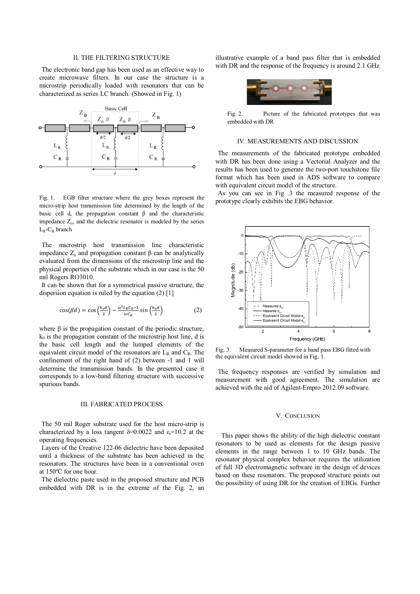# II. THE FILTERING STRUCTURE

The electronic band gap has been used as an effective way to create microwave filters. In our case the structure is a microstrip periodically loaded with resonators that can be characterized as series LC branch. (Showed in Fig. 1)



Fig. 1. EGB filter structure where the grey boxes represent the micro-strip host transmission line determined by the length of the basic cell d, the propagation constant  $\beta$  and the characteristic impedance  $Z<sub>o</sub>$ , and the dielectric resonator is modeled by the series  $L_R$ - $C_R$  branch

The microstrip host transmission line characteristic impedance  $Z_0$  and propagation constant  $\beta$  can be analytically evaluated from the dimensions of the microstrip line and the physical properties of the substrate which in our case is the 50 mil Rogers RO3010.

It can be shown that for a symmetrical passive structure, the dispersion equation is ruled by the equation (2) [1]

$$
\cos(\beta d) = \cos\left(\frac{k_0 d}{2}\right) - \frac{\omega^2 L_R C_R - 1}{\omega C_R} \sin\left(\frac{k_0 d}{2}\right) \tag{2}
$$

where  $\beta$  is the propagation constant of the periodic structure,  $k_0$  is the propagation constant of the microstrip host line, d is the basic cell length and the lumped elements of the equivalent circuit model of the resonators are  $L_R$  and  $C_R$ . The confinement of the right hand of (2) between -1 and 1 will determine the transmission bands. In the presented case it corresponds to a low-band filtering structure with successive spurious bands.

#### III. FABRICATED PROCESS

The 50 mil Roger substrate used for the host micro-strip is characterized by a loss tangent  $\delta$ =0.0022 and  $\varepsilon$ <sub>r</sub>=10.2 at the operating frequencies.

Layers of the Creative 122-06 dielectric have been deposited until a thickness of the substrate has been achieved in the resonators. The structures have been in a conventional oven at 150ºC for one hour.

The dielectric paste used in the proposed structure and PCB embedded with DR is in the extreme of the Fig. 2, an illustrative example of a band pass filter that is embedded with DR and the response of the frequency is around 2.1 GHz



Fig. 2. Picture of the fabricated prototypes that was embedded with DR

# IV. MEASUREMENTS AND DISCUSSION

The measurements of the fabricated prototype embedded with DR has been done using a Vectorial Analyzer and the results has been used to generate the two-port touchstone file format which has been used in ADS software to compare with equivalent circuit model of the structure.

As you can see in Fig .3 the measured response of the prototype clearly exhibits the EBG behavior.



Fig. 3. Measured S-parameter for a band pass EBG fitted with the equivalent circuit model showed in Fig. 1.

The frequency responses are verified by simulation and measurement with good agreement. The simulation are achieved with the aid of Agilent-Empro 2012.09 software.

### V. CONCLUSION

 This paper shows the ability of the high dielectric constant resonators to be used as elements for the design passive elements in the range between 1 to 10 GHz bands. The resonator physical complex behavior requires the utilization of full 3D electromagnetic software in the design of devices based on these resonators. The proposed structure points out the possibility of using DR for the creation of EBGs. Further